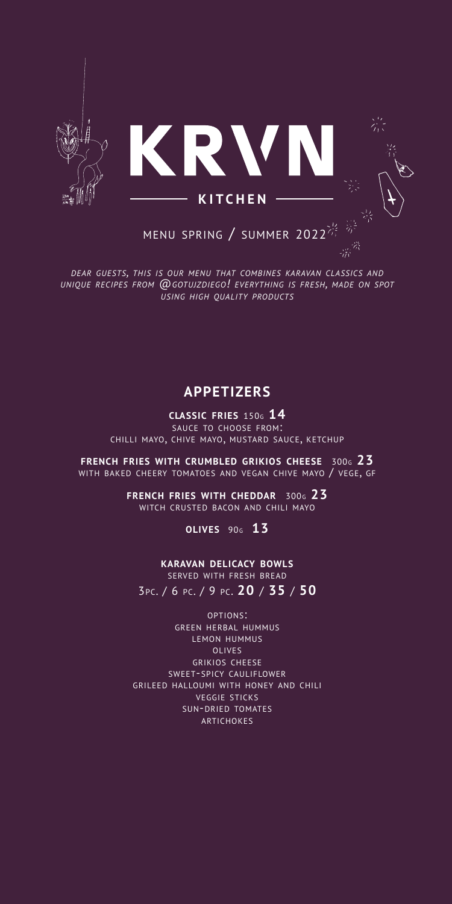

*DEAR GUESTS, THIS IS OUR MENU THAT COMBINES KARAVAN CLASSICS AND UNIQUE RECIPES FROM @GOTUJZDIEGO! EVERYTHING IS FRESH, MADE ON SPOT USING HIGH QUALITY PRODUCTS*

# **APPETIZERS**

**CLASSIC FRIES** 150G **14** SAUCE TO CHOOSE FROM: CHILLI MAYO, CHIVE MAYO, MUSTARD SAUCE, KETCHUP

**FRENCH FRIES WITH CRUMBLED GRIKIOS CHEESE** 300G **23** WITH BAKED CHEERY TOMATOES AND VEGAN CHIVE MAYO / VEGE, GF

> **FRENCH FRIES WITH CHEDDAR** 300G **23** WITCH CRUSTED BACON AND CHILI MAYO

> > **OLIVES** 90G **13**

**KARAVAN DELICACY BOWLS** SERVED WITH FRESH BREAD 3PC. / 6 PC. / 9 PC. **20** / **35** / **50**

OPTIONS: GREEN HERBAL HUMMUS LEMON HUMMUS OLIVES GRIKIOS CHEESE SWEET-SPICY CAULIFLOWER GRILEED HALLOUMI WITH HONEY AND CHILI VEGGIE STICKS SUN-DRIED TOMATES ARTICHOKES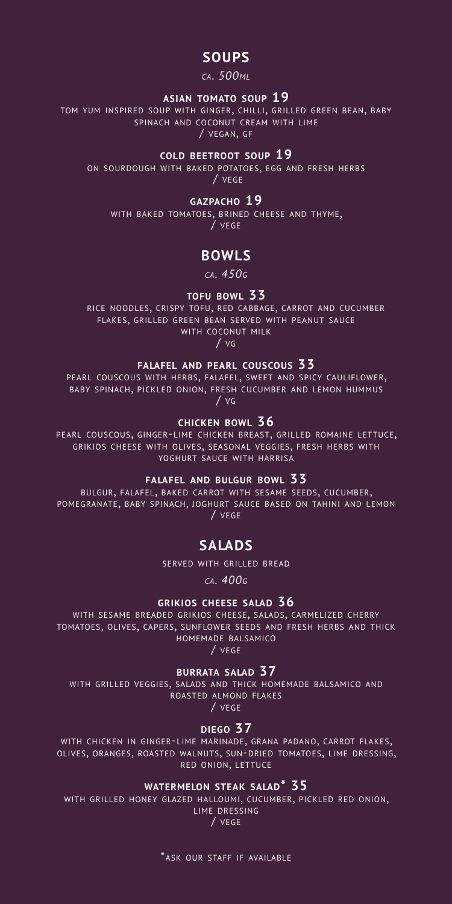# **SOUPS**

# *CA. 500ML*

#### **ASIAN TOMATO SOUP 19**

TOM YUM INSPIRED SOUP WITH GINGER, CHILLI, GRILLED GREEN BEAN, BABY SPINACH AND COCONUT CREAM WITH LIME / VEGAN, GF

**COLD BEETROOT SOUP 19**

ON SOURDOUGH WITH BAKED POTATOES, EGG AND FRESH HERBS / VEGE

#### **GAZPACHO 19**

WITH BAKED TOMATOES, BRINED CHEESE AND THYME, / VEGE

# **BOWLS**

*CA. 450G*

#### **TOFU BOWL 33**

RICE NOODLES, CRISPY TOFU, RED CABBAGE, CARROT AND CUCUMBER FLAKES, GRILLED GREEN BEAN SERVED WITH PEANUT SAUCE WITH COCONUT MILK

 $\overline{1}$  vg

**FALAFEL AND PEARL COUSCOUS 33**<br>PEARL COUSCOUS WITH HERBS, FALAFEL, SWEET AND SPICY CAULIFLOWER, BABY SPINACH, PICKLED ONION, FRESH CUCUMBER AND LEMON HUMMUS / VG

#### **CHICKEN BOWL 36**

PEARL COUSCOUS, GINGER-LIME CHICKEN BREAST, GRILLED ROMAINE LETTUCE, GRIKIOS CHEESE WITH OLIVES, SEASONAL VEGGIES, FRESH HERBS WITH YOGHURT SAUCE WITH HARRISA

### **FALAFEL AND BULGUR BOWL 33**

BULGUR, FALAFEL, BAKED CARROT WITH SESAME SEEDS, CUCUMBER, POMEGRANATE, BABY SPINACH, JOGHURT SAUCE BASED ON TAHINI AND LEMON / VEGE

# **SALADS**

SERVED WITH GRILLED BREAD

*CA. 400G*

### **GRIKIOS CHEESE SALAD 36**

WITH SESAME BREADED GRIKIOS CHEESE, SALADS, CARMELIZED CHERRY TOMATOES, OLIVES, CAPERS, SUNFLOWER SEEDS AND FRESH HERBS AND THICK HOMEMADE BALSAMICO

/ VEGE

#### **BURRATA SALAD 37**

WITH GRILLED VEGGIES, SALADS AND THICK HOMEMADE BALSAMICO AND ROASTED ALMOND FLAKES

/ VEGE

#### **DIEGO 37**

WITH CHICKEN IN GINGER-LIME MARINADE, GRANA PADANO, CARROT FLAKES, OLIVES, ORANGES, ROASTED WALNUTS, SUN-DRIED TOMATOES, LIME DRESSING, RED ONION, LETTUCE

### **WATERMELON STEAK SALAD\* 35**

WITH GRILLED HONEY GLAZED HALLOUMI, CUCUMBER, PICKLED RED ONION,<br>LIME DRESSING

/ VEGE

\*ASK OUR STAFF IF AVAILABLE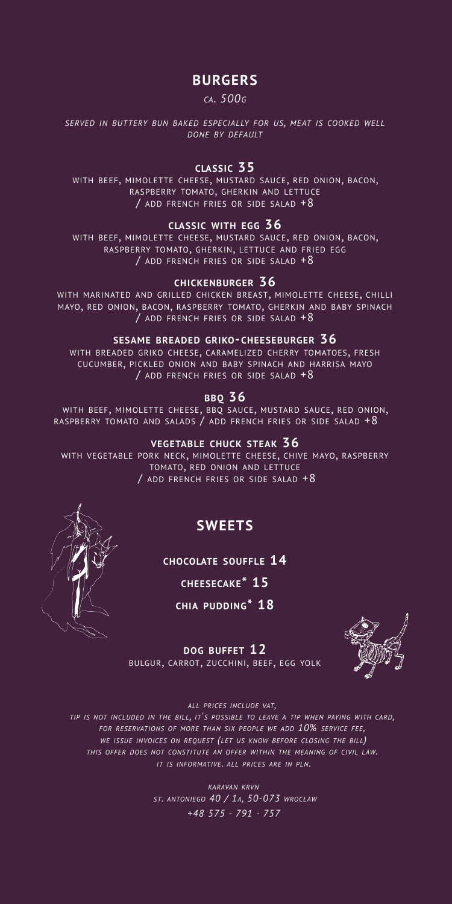# **BURGERS**

#### *CA. 500G*

*SERVED IN BUTTERY BUN BAKED ESPECIALLY FOR US, MEAT IS COOKED WELL DONE BY DEFAULT*

# **CLASSIC 35**

WITH BEEF, MIMOLETTE CHEESE, MUSTARD SAUCE, RED ONION, BACON,<br>RASPBERRY TOMATO, GHERKIN AND LETTUCE / ADD FRENCH FRIES OR SIDE SALAD +8

#### **CLASSIC WITH EGG 36**

WITH BEEF, MIMOLETTE CHEESE, MUSTARD SAUCE, RED ONION, BACON, RASPBERRY TOMATO, GHERKIN, LETTUCE AND FRIED EGG / ADD FRENCH FRIES OR SIDE SALAD +8

#### **CHICKENBURGER 36**

WITH MARINATED AND GRILLED CHICKEN BREAST, MIMOLETTE CHEESE, CHILLI MAYO, RED ONION, BACON, RASPBERRY TOMATO, GHERKIN AND BABY SPINACH / ADD FRENCH FRIES OR SIDE SALAD  $+8$ 

#### **SESAME BREADED GRIKO-CHEESEBURGER 36**

WITH BREADED GRIKO CHEESE, CARAMELIZED CHERRY TOMATOES, FRESH CUCUMBER, PICKLED ONION AND BABY SPINACH AND HARRISA MAYO / ADD FRENCH FRIES OR SIDE SALAD +8

# **BBQ 36**

WITH BEEF, MIMOLETTE CHEESE, BBQ SAUCE, MUSTARD SAUCE, RED ONION, RASPBERRY TOMATO AND SALADS / ADD FRENCH FRIES OR SIDE SALAD +8

#### **VEGETABLE CHUCK STEAK 36**

WITH VEGETABLE PORK NECK, MIMOLETTE CHEESE, CHIVE MAYO, RASPBERRY TOMATO, RED ONION AND LETTUCE / ADD FRENCH FRIES OR SIDE SALAD +8

# **SWEETS**

**CHOCOLATE SOUFFLE 14**

**CHEESECAKE\* 15**

**CHIA PUDDING\* 18**



**DOG BUFFET 12** BULGUR, CARROT, ZUCCHINI, BEEF, EGG YOLK

*ALL PRICES INCLUDE VAT,* 

*TIP IS NOT INCLUDED IN THE BILL, IT'S POSSIBLE TO LEAVE A TIP WHEN PAYING WITH CARD, FOR RESERVATIONS OF MORE THAN SIX PEOPLE WE ADD 10% SERVICE FEE, WE ISSUE INVOICES ON REQUEST (LET US KNOW BEFORE CLOSING THE BILL) THIS OFFER DOES NOT CONSTITUTE AN OFFER WITHIN THE MEANING OF CIVIL LAW. IT IS INFORMATIVE. ALL PRICES ARE IN PLN.*

> *KARAVAN KRVN ST. ANTONIEGO 40 / 1A, 50-073 WROCŁAW +48 575 - 791 - 757*

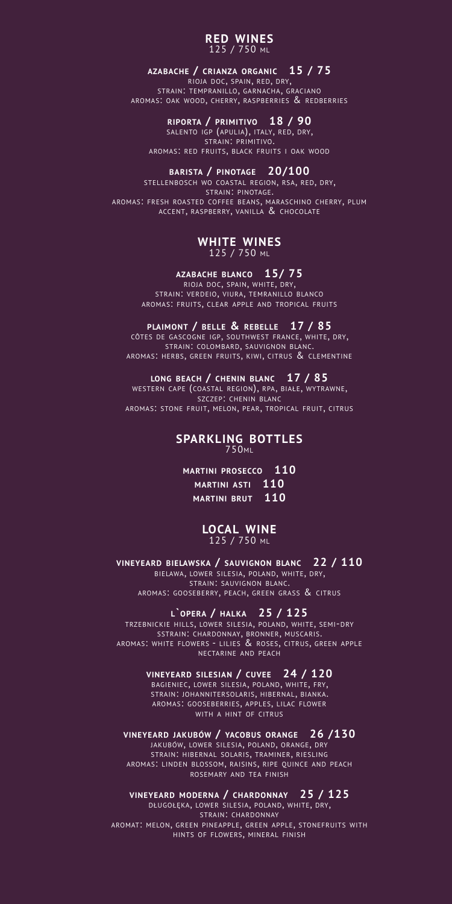#### **RED WINES** 125 / 750 ML

#### **AZABACHE / CRIANZA ORGANIC 15 / 75**

RIOJA DOC, SPAIN, RED, DRY, STRAIN: TEMPRANILLO, GARNACHA, GRACIANO AROMAS: OAK WOOD, CHERRY, RASPBERRIES & REDBERRIES

#### **RIPORTA / PRIMITIVO 18 / 90**

SALENTO IGP (APULIA), ITALY, RED, DRY, STRAIN: PRIMITIVO. AROMAS: RED FRUITS, BLACK FRUITS <sup>I</sup> OAK WOOD

# **BARISTA / PINOTAGE 20/100**<br>**STELLENBOSCH WO COASTAL REGION, RSA, RED, DRY,**

STELLENBOSCH WO COASTAL REGION, RSA, RED, DRY,<br>STRAIN: PINOTAGE.<br>AROMAS: FRESH ROASTED COFFEE BEANS, MARASCHINO CHERRY, PLUM ACCENT, RASPBERRY, VANILLA & CHOCOLATE

#### **WHITE WINES** 125 / 750 ML

#### **AZABACHE BLANCO 15/ 75**

RIOJA DOC, SPAIN, WHITE, DRY, STRAIN: VERDEIO, VIURA, TEMRANILLO BLANCO AROMAS: FRUITS, CLEAR APPLE AND TROPICAL FRUITS

#### **PLAIMONT / BELLE & REBELLE 17 / 85**

CÔTES DE GASCOGNE IGP, SOUTHWEST FRANCE, WHITE, DRY, STRAIN: COLOMBARD, SAUVIGNON BLANC. AROMAS: HERBS, GREEN FRUITS, KIWI, CITRUS & CLEMENTINE

#### **LONG BEACH / CHENIN BLANC 17 / 85**

WESTERN CAPE (COASTAL REGION), RPA, BIAŁE, WYTRAWNE, SZCZEP: CHENIN BLANC AROMAS: STONE FRUIT, MELON, PEAR, TROPICAL FRUIT, CITRUS

# **SPARKLING BOTTLES** 750ML

### **MARTINI PROSECCO 110 MARTINI ASTI 110 MARTINI BRUT 110**

#### **LOCAL WINE** 125 / 750 ML

**VINEYEARD BIELAWSKA / SAUVIGNON BLANC 22 / 110** BIELAWA, LOWER SILESIA, POLAND, WHITE, DRY,<br>BIELAWA, LOWER SILESIA, POLAND, WHITE, DRY,<br>STRAIN: SAUVIGNON BLANC.<br>AROMAS: GOOSEBERRY, PEACH, GREEN GRASS & CITRUS

#### **L`OPERA / HALKA 25 / 125**

TRZEBNICKIE HILLS, LOWER SILESIA, POLAND, WHITE, SEMI-DRY SSTRAIN: CHARDONNAY, BRONNER, MUSCARIS. AROMAS: WHITE FLOWERS - LILIES & ROSES, CITRUS, GREEN APPLE NECTARINE AND PEACH

#### **VINEYEARD SILESIAN / CUVEE 24 / 120**

BAGIENIEC, LOWER SILESIA, POLAND, WHITE, FRY, STRAIN: JOHANNITERSOLARIS, HIBERNAL, BIANKA. AROMAS: GOOSEBERRIES, APPLES, LILAC FLOWER WITH A HINT OF CITRUS

#### **VINEYEARD JAKUBÓW / YACOBUS ORANGE 26 /130**

JAKUBÓW, LOWER SILESIA, POLAND, ORANGE, DRY STRAIN: HIBERNAL SOLARIS, TRAMINER, RIESLING AROMAS: LINDEN BLOSSOM, RAISINS, RIPE QUINCE AND PEACH ROSEMARY AND TEA FINISH

#### **VINEYEARD MODERNA / CHARDONNAY 25 / 125**

DŁUGOŁĘKA, LOWER SILESIA, POLAND, WHITE, DRY, STRAIN: CHARDONNAY AROMAT: MELON, GREEN PINEAPPLE, GREEN APPLE, STONEFRUITS WITH HINTS OF FLOWERS, MINERAL FINISH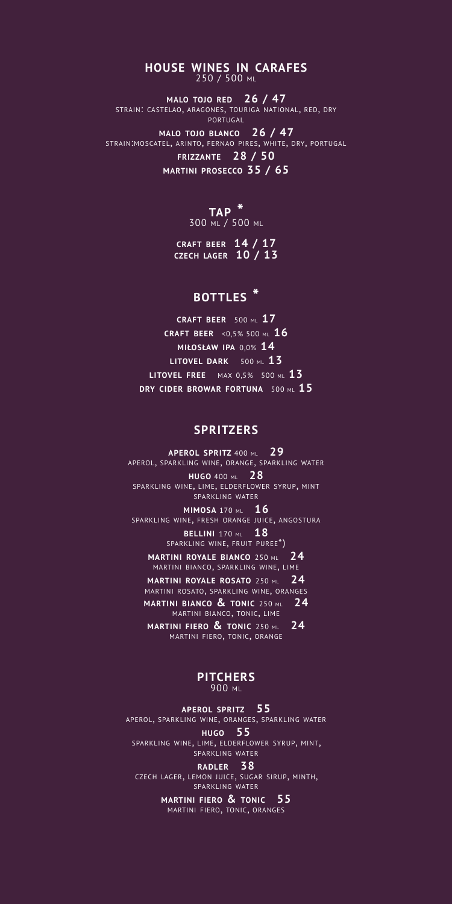**HOUSE WINES IN CARAFES** 250 / 500 ML

**MALO TOJO RED 26 / 47** STRAIN: CASTELAO, ARAGONES, TOURIGA NATIONAL, RED, DRY PORTUGAL

**MALO TOJO BLANCO 26 / 47** STRAIN:MOSCATEL, ARINTO, FERNAO PIRES, WHITE, DRY, PORTUGAL **FRIZZANTE 28 / 50 MARTINI PROSECCO 35 / 65**

**TAP \*** 

300 ML / 500 ML

**CRAFT BEER 14 / 17 CZECH LAGER 10 / 13**

# **BOTTLES \***

**CRAFT BEER** 500 ML **17 CRAFT BEER** <0,5% 500 ML **16 MIŁOSŁAW IPA** 0,0% **14 LITOVEL DARK** 500 ML **13 LITOVEL FREE** MAX 0,5%500 ML **13 DRY CIDER BROWAR FORTUNA** 500 ML **15**

# **SPRITZERS**

**APEROL SPRITZ** 400 ML **29** APEROL, SPARKLING WINE, ORANGE, SPARKLING WATER **HUGO** 400 ML **28** SPARKLING WINE, LIME, ELDERFLOWER SYRUP, MINT SPARKLING WATER **MIMOSA** 170 ML **16** SPARKLING WINE, FRESH ORANGE JUICE, ANGOSTURA **BELLINI** 170 ML 18 SPARKLING WINE, FRUIT PUREE\*) **MARTINI ROYALE BIANCO** 250 ML **24** MARTINI BIANCO, SPARKLING WINE, LIME **MARTINI ROYALE ROSATO** 250 ML **24** MARTINI ROSATO, SPARKLING WINE, ORANGES

**MARTINI BIANCO & TONIC** 250 ML **24** MARTINI BIANCO, TONIC, LIME **MARTINI FIERO & TONIC** 250 ML **24**

MARTINI FIERO, TONIC, ORANGE

#### **PITCHERS** 900 ML

**APEROL SPRITZ 55** APEROL, SPARKLING WINE, ORANGES, SPARKLING WATER **HUGO 55** SPARKLING WINE, LIME, ELDERFLOWER SYRUP, MINT, SPARKLING WATER **RADLER 38**

CZECH LAGER, LEMON JUICE, SUGAR SIRUP, MINTH, SPARKLING WATER

**MARTINI FIERO & TONIC 55** MARTINI FIERO, TONIC, ORANGES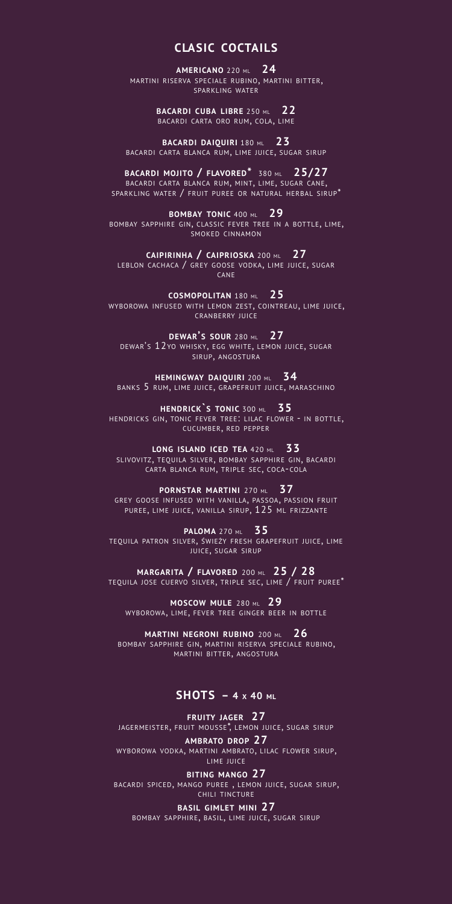# **CLASIC COCTAILS**

**AMERICANO** 220 ML **24** MARTINI RISERVA SPECIALE RUBINO, MARTINI BITTER, SPARKLING WATER

> **BACARDI CUBA LIBRE** 250 ML **22** BACARDI CARTA ORO RUM, COLA, LIME

**BACARDI DAIQUIRI** 180 ML **23** BACARDI CARTA BLANCA RUM, LIME JUICE, SUGAR SIRUP

**BACARDI MOJITO / FLAVORED\*** 380 ML **25/27** BACARDI CARTA BLANCA RUM, MINT, LIME, SUGAR CANE, SPARKLING WATER / FRUIT PUREE OR NATURAL HERBAL SIRUP\*

**BOMBAY TONIC** 400 ML **29** BOMBAY SAPPHIRE GIN, CLASSIC FEVER TREE IN <sup>A</sup> BOTTLE, LIME, SMOKED CINNAMON

**CAIPIRINHA / CAIPRIOSKA** 200 ML **27** LEBLON CACHACA / GREY GOOSE VODKA, LIME JUICE, SUGAR CANE

**COSMOPOLITAN** 180 ML **25** WYBOROWA INFUSED WITH LEMON ZEST, COINTREAU, LIME JUICE, CRANBERRY JUICE

**DEWAR'S SOUR** 280 ML **27** DEWAR'S 12YO WHISKY, EGG WHITE, LEMON JUICE, SUGAR SIRUP, ANGOSTURA

**HEMINGWAY DAIQUIRI** 200 ML **34** BANKS 5 RUM, LIME JUICE, GRAPEFRUIT JUICE, MARASCHINO

**HENDRICK`S TONIC** 300 ML **35** HENDRICKS GIN, TONIC FEVER TREE: LILAC FLOWER - IN BOTTLE, CUCUMBER, RED PEPPER

**LONG ISLAND ICED TEA** 420 ML **33** SLIVOVITZ, TEQUILA SILVER, BOMBAY SAPPHIRE GIN, BACARDI CARTA BLANCA RUM, TRIPLE SEC, COCA-COLA

**PORNSTAR MARTINI** 270 ML **37** GREY GOOSE INFUSED WITH VANILLA, PASSOA, PASSION FRUIT PUREE, LIME JUICE, VANILLA SIRUP,  $125\,$  ML FRIZZANTE

**PALOMA** 270 ML **35** TEQUILA PATRON SILVER, ŚWIEŻY FRESH GRAPEFRUIT JUICE, LIME JUICE, SUGAR SIRUP

**MARGARITA / FLAVORED** 200 ML **25 / 28** TEQUILA JOSE CUERVO SILVER, TRIPLE SEC, LIME / FRUIT PUREE\*

**MOSCOW MULE** 280 ML **29** WYBOROWA, LIME, FEVER TREE GINGER BEER IN BOTTLE

**MARTINI NEGRONI RUBINO** 200 ML **26** BOMBAY SAPPHIRE GIN, MARTINI RISERVA SPECIALE RUBINO, MARTINI BITTER, ANGOSTURA

### **SHOTS – 4 X 40 ML**

**FRUITY JAGER 27** JAGERMEISTER, FRUIT MOUSSE\*, LEMON JUICE, SUGAR SIRUP **AMBRATO DROP 27**

WYBOROWA VODKA, MARTINI AMBRATO, LILAC FLOWER SIRUP,<br>LIME JUICE

**BITING MANGO 27** BACARDI SPICED, MANGO PUREE , LEMON JUICE, SUGAR SIRUP, CHILI TINCTURE

**BASIL GIMLET MINI 27** BOMBAY SAPPHIRE, BASIL, LIME JUICE, SUGAR SIRUP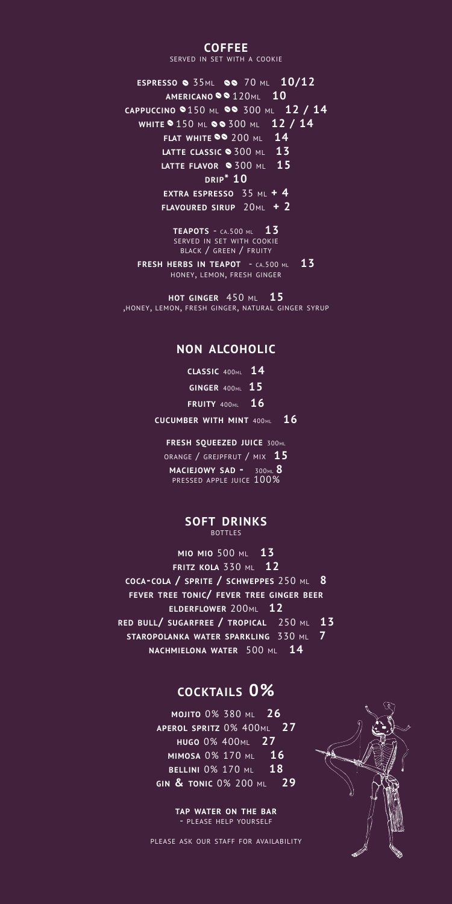### **COFFEE**

SERVED IN SET WITH A COOKIE

**ESPRESSO** 35ML 70 ML **10/12 AMERICANO** 120ML **10 CAPPUCCINO** 150 ML 300 ML **12 / 14 WHITE** 150 ML 300 ML **12 / 14 FLAT WHITE** 200 ML **14 LATTE CLASSIC** 300 ML **13 LATTE FLAVOR** 300 ML **15 DRIP\* 10 EXTRA ESPRESSO** 35 ML **+ 4 FLAVOURED SIRUP** 20ML **+ 2**

**TEAPOTS** - CA.500 ML **13** SERVED IN SET WITH COOKIE BLACK / GREEN / FRUITY **FRESH HERBS IN TEAPOT** - CA.500 ML **13** HONEY, LEMON, FRESH GINGER

**HOT GINGER** 450 ML**<sup>15</sup>** ,HONEY, LEMON, FRESH GINGER, NATURAL GINGER SYRUP

# **NON ALCOHOLIC**

| CLASSIC 400 $ML$ 14    |    |
|------------------------|----|
| <b>GINGER 400ML 15</b> |    |
| <b>FRUITY</b> 400ML    | 16 |

**CUCUMBER WITH MINT** 400ML **16**

**FRESH SQUEEZED JUICE** 300ML ORANGE / GREJPFRUT / MIX **15 MACIEJOWY SAD -** 300ML **8** PRESSED APPLE JUICE 100%

#### **SOFT DRINKS** BOTTLES

**MIO MIO** 500 ML **13 FRITZ KOLA** 330 ML **12 COCA-COLA / SPRITE / SCHWEPPES** 250 ML **8 FEVER TREE TONIC/ FEVER TREE GINGER BEER ELDERFLOWER** 200ML **12 RED BULL/ SUGARFREE / TROPICAL** 250 ML **13 STAROPOLANKA WATER SPARKLING** 330 ML **7 NACHMIELONA WATER** 500 ML **14**

# **COCKTAILS 0%**

**MOJITO** 0% 380 ML 26 **APEROL SPRITZ** 0% 400ML **27 HUGO** 0% 400ML **27 MIMOSA** 0% 170 ML **16 BELLINI** 0% 170 ML **18 GIN & TONIC** 0% 200 ML **29** 

> **TAP WATER ON THE BAR** - PLEASE HELP YOURSELF

PLEASE ASK OUR STAFF FOR AVAILABILITY

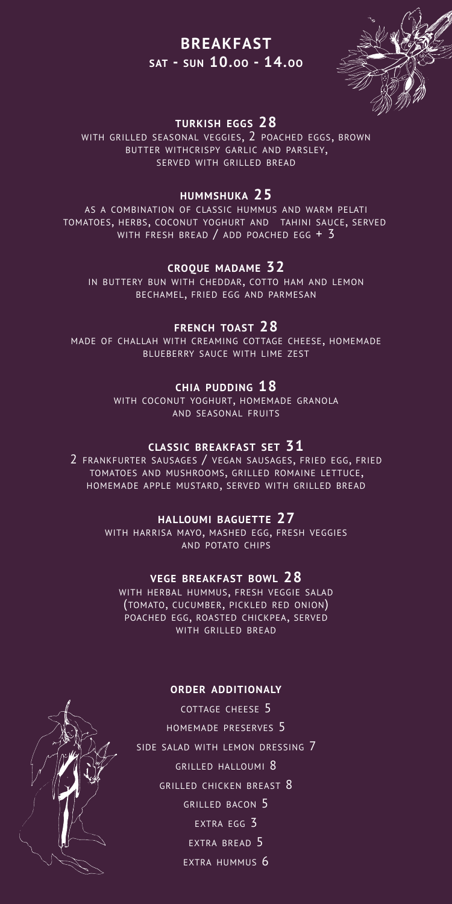# **BREAKFAST SAT - SUN 10.OO - 14.OO**



# **TURKISH EGGS 28**

WITH GRILLED SEASONAL VEGGIES, 2 POACHED EGGS, BROWN BUTTER WITHCRISPY GARLIC AND PARSLEY,<br>SERVED WITH GRILLED BREAD

# **HUMMSHUKA 25**

AS A COMBINATION OF CLASSIC HUMMUS AND WARM PELATI TOMATOES, HERBS, COCONUT YOGHURT AND TAHINI SAUCE, SERVED WITH FRESH BREAD / ADD POACHED EGG + 3

### **CROQUE MADAME 32**

IN BUTTERY BUN WITH CHEDDAR, COTTO HAM AND LEMON BECHAMEL, FRIED EGG AND PARMESAN

### **FRENCH TOAST 28**

MADE OF CHALLAH WITH CREAMING COTTAGE CHEESE, HOMEMADE BLUEBERRY SAUCE WITH LIME ZEST

# **CHIA PUDDING 18**

WITH COCONUT YOGHURT, HOMEMADE GRANOLA AND SEASONAL FRUITS

# **CLASSIC BREAKFAST SET 31**

2 FRANKFURTER SAUSAGES / VEGAN SAUSAGES, FRIED EGG, FRIED TOMATOES AND MUSHROOMS, GRILLED ROMAINE LETTUCE, HOMEMADE APPLE MUSTARD, SERVED WITH GRILLED BREAD

### **HALLOUMI BAGUETTE 27**

WITH HARRISA MAYO, MASHED EGG, FRESH VEGGIES AND POTATO CHIPS

#### **VEGE BREAKFAST BOWL 28**

WITH HERBAL HUMMUS, FRESH VEGGIE SALAD (TOMATO, CUCUMBER, PICKLED RED ONION) POACHED EGG, ROASTED CHICKPEA, SERVED WITH GRILLED BREAD

#### **ORDER ADDITIONALY**

COTTAGE CHEESE 5 HOMEMADE PRESERVES 5 SIDE SALAD WITH LEMON DRESSING 7 GRILLED HALLOUMI 8 GRILLED CHICKEN BREAST 8 GRILLED BACON 5 EXTRA EGG 3 EXTRA BREAD 5 EXTRA HUMMUS 6

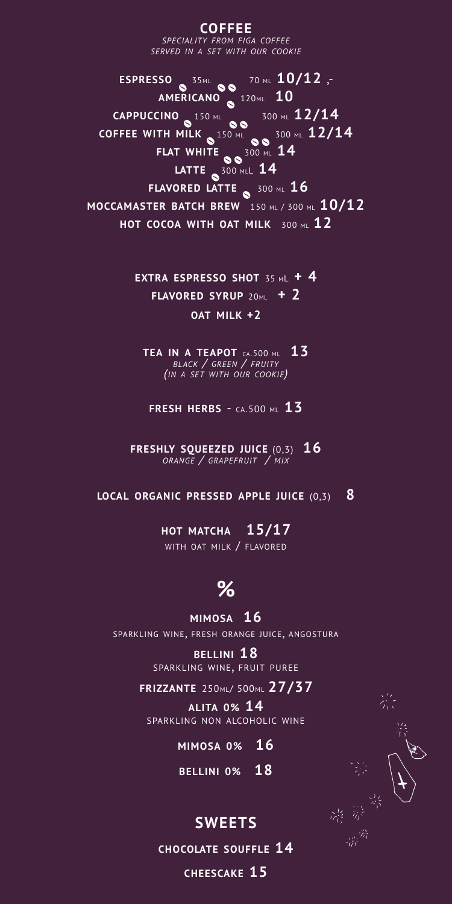**COFFEE** *SPECIALITY FROM FIGA COFFEE SERVED IN A SET WITH OUR COOKIE*

**ESPRESSO** 35ML 70 ML **10/12** ,- **AMERICANO** 120ML **10 CAPPUCCINO** 150 ML 300 ML 12/14 **COFFEE WITH MILK** 150 ML 300 ML **12/14 FLAT WHITE** 300 ML **14 LATTE** 300 MLL **14 FLAVORED LATTE** 300 ML **16 MOCCAMASTER BATCH BREW** 150 ML / 300 ML **10/12 HOT COCOA WITH OAT MILK** 300 ML **12**

> **EXTRA ESPRESSO SHOT** 35 ML **+ 4 FLAVORED SYRUP** 20ML **+ 2 OAT MILK +2**

**TEA IN <sup>A</sup> TEAPOT** CA.500 ML **13** *BLACK / GREEN / FRUITY (IN <sup>A</sup> SET WITH OUR COOKIE)*

**FRESH HERBS** - CA.500 ML **13**

**FRESHLY SQUEEZED JUICE** (0,3) **16** *ORANGE / GRAPEFRUIT / MIX*

**LOCAL ORGANIC PRESSED APPLE JUICE** (0,3) **8**

**HOT MATCHA 15/17** WITH OAT MILK / FLAVORED

# **%**

**MIMOSA 16** SPARKLING WINE, FRESH ORANGE JUICE, ANGOSTURA

> **BELLINI 18** SPARKLING WINE, FRUIT PUREE

**FRIZZANTE** 250ML/ 500ML **27/37**

**ALITA 0% 14** SPARKLING NON ALCOHOLIC WINE

**MIMOSA 0% 16**

**BELLINI 0% 18**

# **SWEETS**

**CHOCOLATE SOUFFLE 14**

**CHEESCAKE 15**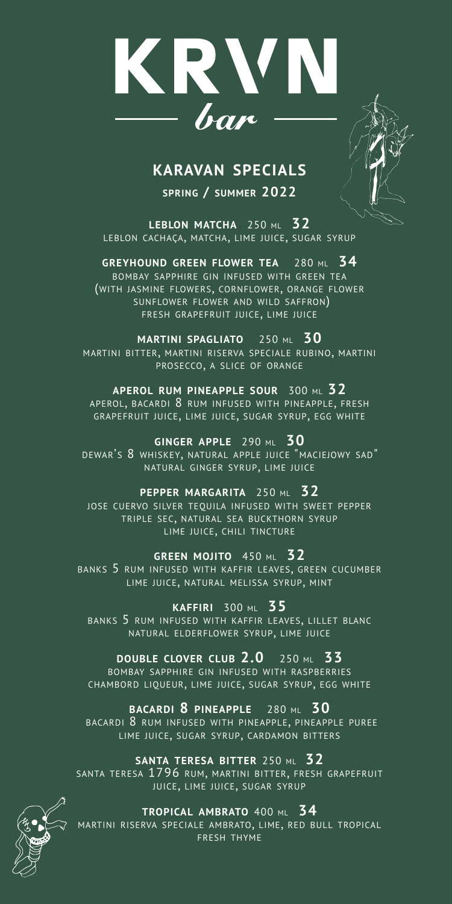

# **KARAVAN SPECIALS**

**SPRING / SUMMER 2022**

**LEBLON MATCHA** 250 ML **32** LEBLON CACHAÇA, MATCHA, LIME JUICE, SUGAR SYRUP

**GREYHOUND GREEN FLOWER TEA** 280 ML **34** BOMBAY SAPPHIRE GIN INFUSED WITH GREEN TEA (WITH JASMINE FLOWERS, CORNFLOWER, ORANGE FLOWER SUNFLOWER FLOWER AND WILD SAFFRON) FRESH GRAPEFRUIT JUICE, LIME JUICE

**MARTINI SPAGLIATO** 250 ML **30** MARTINI BITTER, MARTINI RISERVA SPECIALE RUBINO, MARTINI PROSECCO, A SLICE OF ORANGE

**APEROL RUM PINEAPPLE SOUR** 300 ML **32** APEROL, BACARDI 8 RUM INFUSED WITH PINEAPPLE, FRESH GRAPEFRUIT JUICE, LIME JUICE, SUGAR SYRUP, EGG WHITE

**GINGER APPLE** 290 ML **30** DEWAR'S 8 WHISKEY, NATURAL APPLE JUICE "MACIEJOWY SAD" NATURAL GINGER SYRUP, LIME JUICE

**PEPPER MARGARITA** 250 ML **32** JOSE CUERVO SILVER TEQUILA INFUSED WITH SWEET PEPPER TRIPLE SEC, NATURAL SEA BUCKTHORN SYRUP LIME JUICE, CHILI TINCTURE

**GREEN MOJITO** 450 ML **32** BANKS 5 RUM INFUSED WITH KAFFIR LEAVES, GREEN CUCUMBER LIME JUICE, NATURAL MELISSA SYRUP, MINT

**KAFFIRI** 300 ML **35** BANKS 5 RUM INFUSED WITH KAFFIR LEAVES, LILLET BLANC NATURAL ELDERFLOWER SYRUP, LIME JUICE

**DOUBLE CLOVER CLUB 2.0** 250 ML **33** BOMBAY SAPPHIRE GIN INFUSED WITH RASPBERRIES CHAMBORD LIQUEUR, LIME JUICE, SUGAR SYRUP, EGG WHITE

**BACARDI 8 PINEAPPLE** 280 ML **30** BACARDI 8 RUM INFUSED WITH PINEAPPLE, PINEAPPLE PUREE LIME JUICE, SUGAR SYRUP, CARDAMON BITTERS

**SANTA TERESA BITTER** 250 ML **32**

SANTA TERESA 1796 RUM, MARTINI BITTER, FRESH GRAPEFRUIT JUICE, LIME JUICE, SUGAR SYRUP



**TROPICAL AMBRATO** 400 ML **34**

MARTINI RISERVA SPECIALE AMBRATO, LIME, RED BULL TROPICAL FRESH THYME